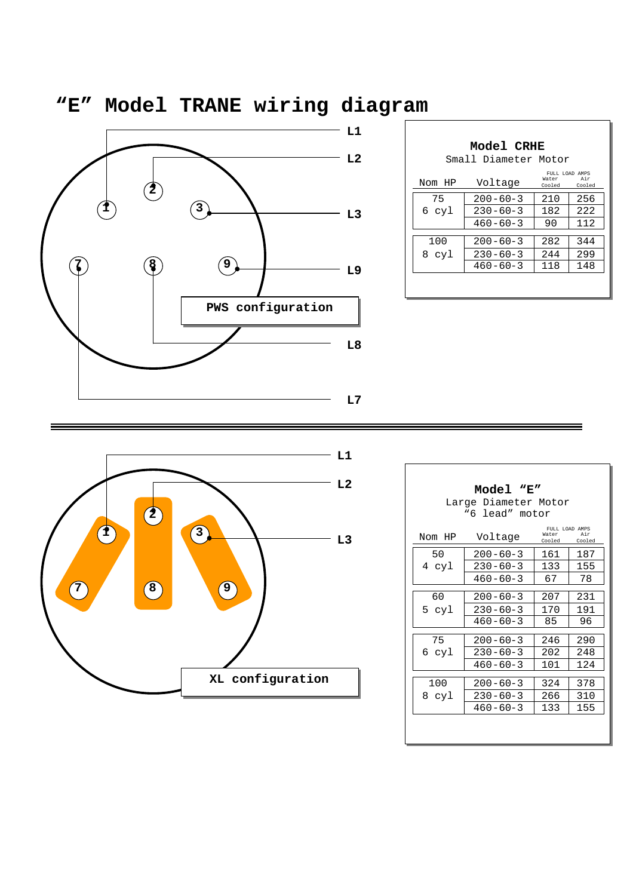

| <b>Model CRHE</b><br>Small Diameter Motor |                |                                   |               |  |  |
|-------------------------------------------|----------------|-----------------------------------|---------------|--|--|
| Nom HP                                    | Voltage        | FULL LOAD AMPS<br>Water<br>Cooled | Air<br>Cooled |  |  |
| 75                                        | $200 - 60 - 3$ | 210                               | 256           |  |  |
| 6 cyl                                     | $230 - 60 - 3$ | 182                               | 2.2.2.        |  |  |
|                                           | $460 - 60 - 3$ | 90                                | 112           |  |  |
|                                           |                |                                   |               |  |  |
| 100                                       | $200 - 60 - 3$ | 282                               | 344           |  |  |
| 8 cyl                                     | $230 - 60 - 3$ | 244                               | 299           |  |  |
|                                           | $460 - 60 - 3$ | 118                               | 148           |  |  |
|                                           |                |                                   |               |  |  |



| Model "E"<br>Large Diameter Motor<br>"6 lead" motor |                |                                                 |     |  |  |
|-----------------------------------------------------|----------------|-------------------------------------------------|-----|--|--|
| Nom HP                                              | Voltage        | FULL LOAD AMPS<br>Air<br>Water<br>Cooled Cooled |     |  |  |
| 50                                                  | $200 - 60 - 3$ | 161                                             | 187 |  |  |
| 4 cyl                                               | $230 - 60 - 3$ | 133                                             | 155 |  |  |
|                                                     | $460 - 60 - 3$ | 67                                              | 78  |  |  |
| 60                                                  | $200 - 60 - 3$ | 207                                             | 231 |  |  |
| 5 cyl                                               | $230 - 60 - 3$ | 170                                             | 191 |  |  |
|                                                     | $460 - 60 - 3$ | 85                                              | 96  |  |  |
| 75                                                  | $200 - 60 - 3$ | 246                                             | 290 |  |  |
| 6 cyl                                               | $230 - 60 - 3$ | 202                                             | 248 |  |  |
|                                                     | $460 - 60 - 3$ | 101                                             | 124 |  |  |
| 100                                                 | $200 - 60 - 3$ | 324                                             | 378 |  |  |
| 8 cyl                                               | $230 - 60 - 3$ | 266                                             | 310 |  |  |
|                                                     | $460 - 60 - 3$ | 133                                             | 155 |  |  |
|                                                     |                |                                                 |     |  |  |